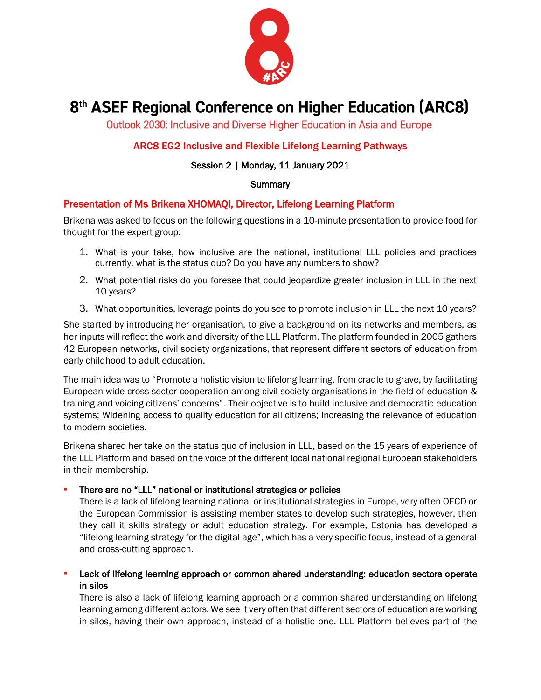

# 8<sup>th</sup> ASEF Regional Conference on Higher Education (ARC8)

Outlook 2030: Inclusive and Diverse Higher Education in Asia and Europe

# ARC8 EG2 Inclusive and Flexible Lifelong Learning Pathways

# Session 2 | Monday, 11 January 2021

#### **Summary**

# Presentation of Ms Brikena XHOMAQI, Director, Lifelong Learning Platform

Brikena was asked to focus on the following questions in a 10-minute presentation to provide food for thought for the expert group:

- 1. What is your take, how inclusive are the national, institutional LLL policies and practices currently, what is the status quo? Do you have any numbers to show?
- 2. What potential risks do you foresee that could jeopardize greater inclusion in LLL in the next 10 years?
- 3. What opportunities, leverage points do you see to promote inclusion in LLL the next 10 years?

She started by introducing her organisation, to give a background on its networks and members, as her inputs will reflect the work and diversity of the LLL Platform. The platform founded in 2005 gathers 42 European networks, civil society organizations, that represent different sectors of education from early childhood to adult education.

The main idea was to "Promote a holistic vision to lifelong learning, from cradle to grave, by facilitating European-wide cross-sector cooperation among civil society organisations in the field of education & training and voicing citizens' concerns". Their objective is to build inclusive and democratic education systems; Widening access to quality education for all citizens; Increasing the relevance of education to modern societies.

Brikena shared her take on the status quo of inclusion in LLL, based on the 15 years of experience of the LLL Platform and based on the voice of the different local national regional European stakeholders in their membership.

#### There are no "LLL" national or institutional strategies or policies

There is a lack of lifelong learning national or institutional strategies in Europe, very often OECD or the European Commission is assisting member states to develop such strategies, however, then they call it skills strategy or adult education strategy. For example, Estonia has developed a "lifelong learning strategy for the digital age", which has a very specific focus, instead of a general and cross-cutting approach.

Lack of lifelong learning approach or common shared understanding: education sectors operate in silos

There is also a lack of lifelong learning approach or a common shared understanding on lifelong learning among different actors. We see it very often that different sectors of education are working in silos, having their own approach, instead of a holistic one. LLL Platform believes part of the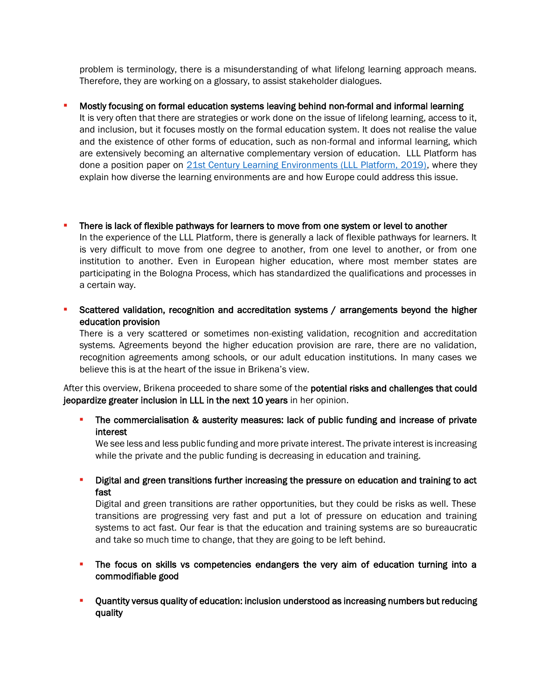problem is terminology, there is a misunderstanding of what lifelong learning approach means. Therefore, they are working on a glossary, to assist stakeholder dialogues.

#### Mostly focusing on formal education systems leaving behind non-formal and informal learning

It is very often that there are strategies or work done on the issue of lifelong learning, access to it, and inclusion, but it focuses mostly on the formal education system. It does not realise the value and the existence of other forms of education, such as non-formal and informal learning, which are extensively becoming an alternative complementary version of education. LLL Platform has done a position paper on [21st Century Learning Environments \(LLL Platform, 2019\),](http://lllplatform.eu/lll/wp-content/uploads/2019/10/LLLP-Position-paper-21CLE.pdf) where they explain how diverse the learning environments are and how Europe could address this issue.

# There is lack of flexible pathways for learners to move from one system or level to another

In the experience of the LLL Platform, there is generally a lack of flexible pathways for learners. It is very difficult to move from one degree to another, from one level to another, or from one institution to another. Even in European higher education, where most member states are participating in the Bologna Process, which has standardized the qualifications and processes in a certain way.

Scattered validation, recognition and accreditation systems / arrangements beyond the higher education provision

There is a very scattered or sometimes non-existing validation, recognition and accreditation systems. Agreements beyond the higher education provision are rare, there are no validation, recognition agreements among schools, or our adult education institutions. In many cases we believe this is at the heart of the issue in Brikena's view.

After this overview, Brikena proceeded to share some of the potential risks and challenges that could jeopardize greater inclusion in LLL in the next 10 years in her opinion.

# The commercialisation & austerity measures: lack of public funding and increase of private interest

We see less and less public funding and more private interest. The private interest is increasing while the private and the public funding is decreasing in education and training.

**•** Digital and green transitions further increasing the pressure on education and training to act fast

Digital and green transitions are rather opportunities, but they could be risks as well. These transitions are progressing very fast and put a lot of pressure on education and training systems to act fast. Our fear is that the education and training systems are so bureaucratic and take so much time to change, that they are going to be left behind.

- **•** The focus on skills vs competencies endangers the very aim of education turning into a commodifiable good
- Quantity versus quality of education: inclusion understood as increasing numbers but reducing quality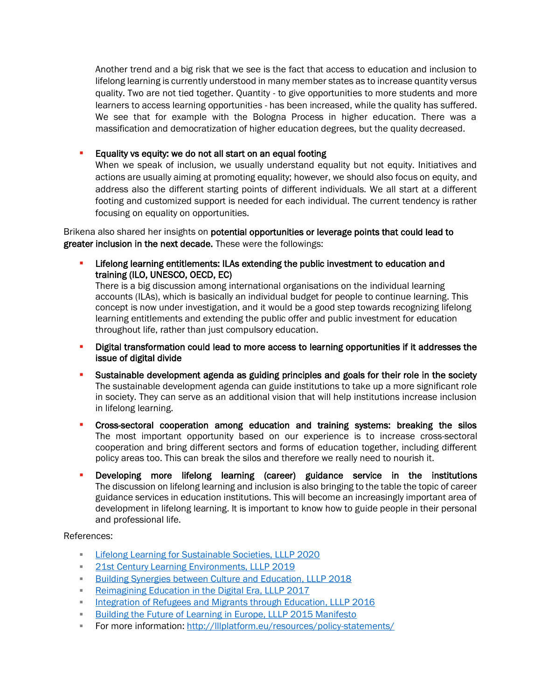Another trend and a big risk that we see is the fact that access to education and inclusion to lifelong learning is currently understood in many member states as to increase quantity versus quality. Two are not tied together. Quantity - to give opportunities to more students and more learners to access learning opportunities - has been increased, while the quality has suffered. We see that for example with the Bologna Process in higher education. There was a massification and democratization of higher education degrees, but the quality decreased.

# Equality vs equity: we do not all start on an equal footing

When we speak of inclusion, we usually understand equality but not equity. Initiatives and actions are usually aiming at promoting equality; however, we should also focus on equity, and address also the different starting points of different individuals. We all start at a different footing and customized support is needed for each individual. The current tendency is rather focusing on equality on opportunities.

Brikena also shared her insights on potential opportunities or leverage points that could lead to greater inclusion in the next decade. These were the followings:

Lifelong learning entitlements: ILAs extending the public investment to education and training (ILO, UNESCO, OECD, EC)

There is a big discussion among international organisations on the individual learning accounts (ILAs), which is basically an individual budget for people to continue learning. This concept is now under investigation, and it would be a good step towards recognizing lifelong learning entitlements and extending the public offer and public investment for education throughout life, rather than just compulsory education.

- **•** Digital transformation could lead to more access to learning opportunities if it addresses the issue of digital divide
- **•** Sustainable development agenda as guiding principles and goals for their role in the society The sustainable development agenda can guide institutions to take up a more significant role in society. They can serve as an additional vision that will help institutions increase inclusion in lifelong learning.
- Cross-sectoral cooperation among education and training systems: breaking the silos The most important opportunity based on our experience is to increase cross-sectoral cooperation and bring different sectors and forms of education together, including different policy areas too. This can break the silos and therefore we really need to nourish it.
- Developing more lifelong learning (career) guidance service in the institutions The discussion on lifelong learning and inclusion is also bringing to the table the topic of career guidance services in education institutions. This will become an increasingly important area of development in lifelong learning. It is important to know how to guide people in their personal and professional life.

References:

- [Lifelong Learning for Sustainable Societies, LLLP 2020](http://lllplatform.eu/lll/wp-content/uploads/2020/12/LL4SS-4.pdf)
- **[21st Century Learning Environments, LLLP 2019](http://lllplatform.eu/lll/wp-content/uploads/2019/10/LLLP-Position-paper-21CLE.pdf)**
- [Building Synergies between Culture and Education, LLLP 2018](http://lllplatform.eu/lll/wp-content/uploads/2015/09/Joint-position-paper_Building-synergies-education-and-culture.pdf)
- **[Reimagining Education in the Digital Era, LLLP 2017](http://lllplatform.eu/lll/wp-content/uploads/2015/09/DigitalPaper_final-1.pdf)**
- **[Integration of Refugees and Migrants through Education, LLLP 2016](http://lllplatform.eu/lll/wp-content/uploads/2015/10/LLL-Platform-Policy-Paper-Refugees-and-migrants-and-inclusive-education-Sept-2016.pdf)**
- **EDUILA INCO ENGLEVA** [Building the Future of Learning in Europe, LLLP 2015 Manifesto](http://lllplatform.eu/lll/wp-content/uploads/2015/10/LLL-Platform-Policy-Paper-Refugees-and-migrants-and-inclusive-education-Sept-2016.pdf)
- **For more information:<http://lllplatform.eu/resources/policy-statements/>**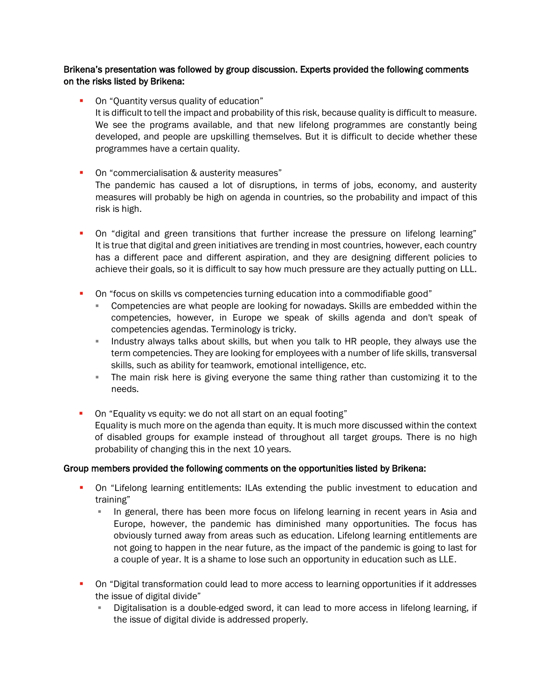### Brikena's presentation was followed by group discussion. Experts provided the following comments on the risks listed by Brikena:

- On "Quantity versus quality of education" It is difficult to tell the impact and probability of this risk, because quality is difficult to measure. We see the programs available, and that new lifelong programmes are constantly being developed, and people are upskilling themselves. But it is difficult to decide whether these programmes have a certain quality.
- On "commercialisation & austerity measures" The pandemic has caused a lot of disruptions, in terms of jobs, economy, and austerity measures will probably be high on agenda in countries, so the probability and impact of this risk is high.
- On "digital and green transitions that further increase the pressure on lifelong learning" It is true that digital and green initiatives are trending in most countries, however, each country has a different pace and different aspiration, and they are designing different policies to achieve their goals, so it is difficult to say how much pressure are they actually putting on LLL.
- On "focus on skills vs competencies turning education into a commodifiable good"
	- Competencies are what people are looking for nowadays. Skills are embedded within the competencies, however, in Europe we speak of skills agenda and don't speak of competencies agendas. Terminology is tricky.
	- **EXED** Industry always talks about skills, but when you talk to HR people, they always use the term competencies. They are looking for employees with a number of life skills, transversal skills, such as ability for teamwork, emotional intelligence, etc.
	- **The main risk here is giving everyone the same thing rather than customizing it to the** needs.
- On "Equality vs equity: we do not all start on an equal footing" Equality is much more on the agenda than equity. It is much more discussed within the context of disabled groups for example instead of throughout all target groups. There is no high probability of changing this in the next 10 years.

# Group members provided the following comments on the opportunities listed by Brikena:

- On "Lifelong learning entitlements: ILAs extending the public investment to education and training"
	- **•** In general, there has been more focus on lifelong learning in recent years in Asia and Europe, however, the pandemic has diminished many opportunities. The focus has obviously turned away from areas such as education. Lifelong learning entitlements are not going to happen in the near future, as the impact of the pandemic is going to last for a couple of year. It is a shame to lose such an opportunity in education such as LLE.
- **•** On "Digital transformation could lead to more access to learning opportunities if it addresses the issue of digital divide"
	- Digitalisation is a double-edged sword, it can lead to more access in lifelong learning, if the issue of digital divide is addressed properly.